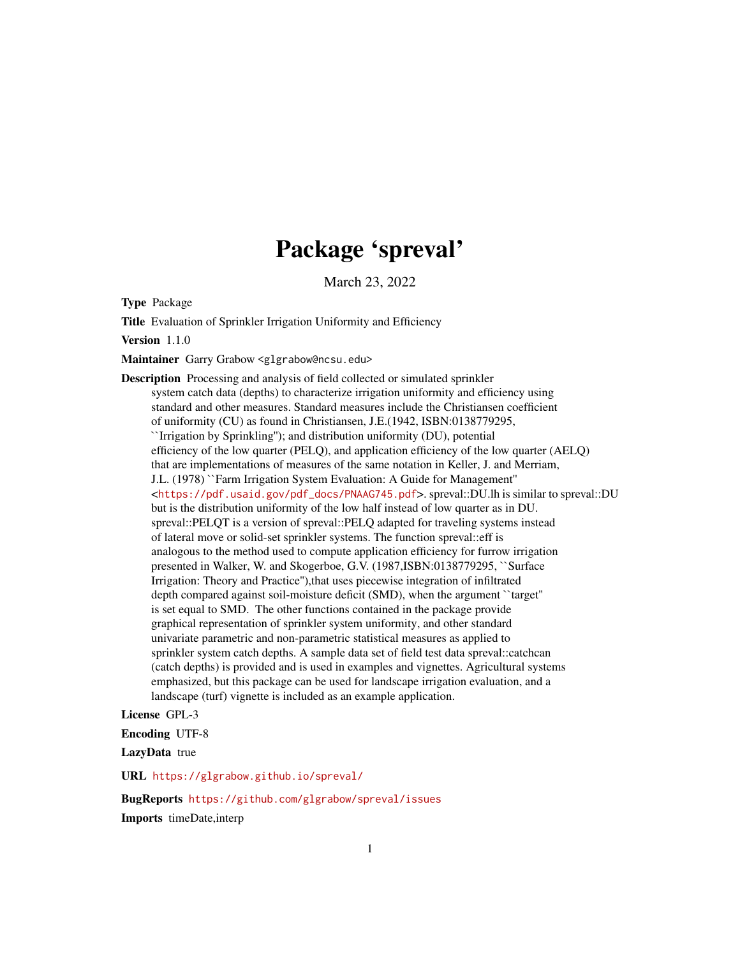# Package 'spreval'

March 23, 2022

<span id="page-0-0"></span>Type Package

Title Evaluation of Sprinkler Irrigation Uniformity and Efficiency

Version 1.1.0

Maintainer Garry Grabow <glgrabow@ncsu.edu>

Description Processing and analysis of field collected or simulated sprinkler system catch data (depths) to characterize irrigation uniformity and efficiency using standard and other measures. Standard measures include the Christiansen coefficient of uniformity (CU) as found in Christiansen, J.E.(1942, ISBN:0138779295, ``Irrigation by Sprinkling''); and distribution uniformity (DU), potential efficiency of the low quarter (PELQ), and application efficiency of the low quarter (AELQ) that are implementations of measures of the same notation in Keller, J. and Merriam, J.L. (1978) ``Farm Irrigation System Evaluation: A Guide for Management'' <[https://pdf.usaid.gov/pdf\\_docs/PNAAG745.pdf](https://pdf.usaid.gov/pdf_docs/PNAAG745.pdf)>. spreval::DU.lh is similar to spreval::DU but is the distribution uniformity of the low half instead of low quarter as in DU. spreval::PELQT is a version of spreval::PELQ adapted for traveling systems instead of lateral move or solid-set sprinkler systems. The function spreval::eff is analogous to the method used to compute application efficiency for furrow irrigation presented in Walker, W. and Skogerboe, G.V. (1987,ISBN:0138779295, ``Surface Irrigation: Theory and Practice''),that uses piecewise integration of infiltrated depth compared against soil-moisture deficit (SMD), when the argument ``target'' is set equal to SMD. The other functions contained in the package provide graphical representation of sprinkler system uniformity, and other standard univariate parametric and non-parametric statistical measures as applied to sprinkler system catch depths. A sample data set of field test data spreval::catchcan (catch depths) is provided and is used in examples and vignettes. Agricultural systems emphasized, but this package can be used for landscape irrigation evaluation, and a landscape (turf) vignette is included as an example application.

License GPL-3

Encoding UTF-8

LazyData true

URL <https://glgrabow.github.io/spreval/>

BugReports <https://github.com/glgrabow/spreval/issues> Imports timeDate,interp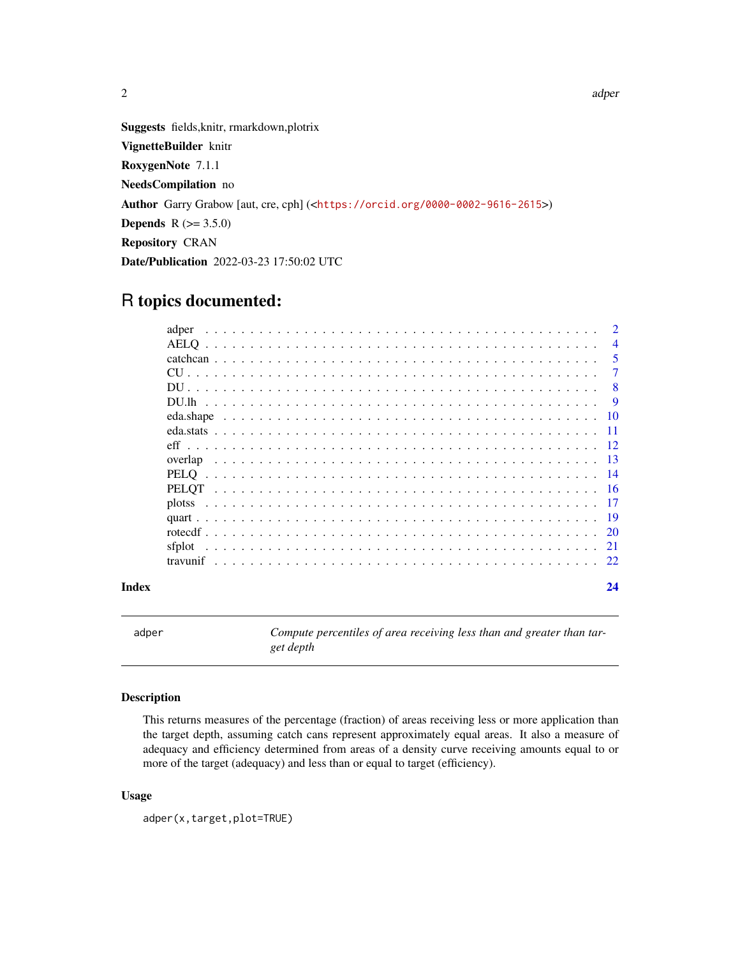Suggests fields,knitr, rmarkdown,plotrix VignetteBuilder knitr RoxygenNote 7.1.1 NeedsCompilation no Author Garry Grabow [aut, cre, cph] (<<https://orcid.org/0000-0002-9616-2615>>) **Depends**  $R (= 3.5.0)$ Repository CRAN Date/Publication 2022-03-23 17:50:02 UTC

## R topics documented:

| Index |       | 24             |
|-------|-------|----------------|
|       |       |                |
|       |       |                |
|       |       |                |
|       |       |                |
|       |       |                |
|       |       |                |
|       |       |                |
|       |       |                |
|       |       |                |
|       |       |                |
|       |       |                |
|       |       | -9             |
|       |       | -8             |
|       |       | 7              |
|       |       | 5              |
|       |       | $\overline{4}$ |
|       | adper | $\mathcal{D}$  |

<span id="page-1-1"></span>adper *Compute percentiles of area receiving less than and greater than target depth*

### Description

This returns measures of the percentage (fraction) of areas receiving less or more application than the target depth, assuming catch cans represent approximately equal areas. It also a measure of adequacy and efficiency determined from areas of a density curve receiving amounts equal to or more of the target (adequacy) and less than or equal to target (efficiency).

#### Usage

adper(x,target,plot=TRUE)

#### <span id="page-1-0"></span> $2 \cos \theta$  adpertises the set of  $\theta$  and  $\theta$  and  $\theta$  and  $\theta$  and  $\theta$  and  $\theta$  and  $\theta$  and  $\theta$  and  $\theta$  and  $\theta$  and  $\theta$  and  $\theta$  and  $\theta$  and  $\theta$  and  $\theta$  and  $\theta$  and  $\theta$  and  $\theta$  and  $\theta$  and  $\theta$  and  $\theta$  and  $\$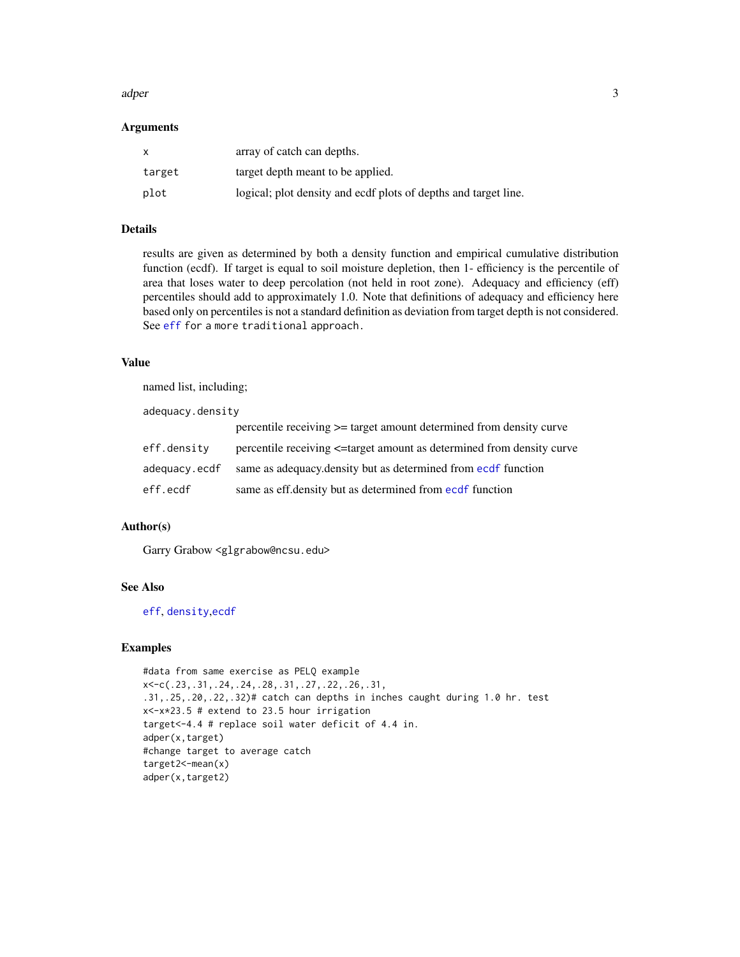#### <span id="page-2-0"></span>adper 3

#### Arguments

| X      | array of catch can depths.                                      |
|--------|-----------------------------------------------------------------|
| target | target depth meant to be applied.                               |
| plot   | logical; plot density and ecdf plots of depths and target line. |

#### Details

results are given as determined by both a density function and empirical cumulative distribution function (ecdf). If target is equal to soil moisture depletion, then 1- efficiency is the percentile of area that loses water to deep percolation (not held in root zone). Adequacy and efficiency (eff) percentiles should add to approximately 1.0. Note that definitions of adequacy and efficiency here based only on percentiles is not a standard definition as deviation from target depth is not considered. See [eff](#page-11-1) for a more traditional approach.

#### Value

named list, including;

adequacy.density

|               | percentile receiving $>=$ target amount determined from density curve      |
|---------------|----------------------------------------------------------------------------|
| eff.densitv   | percentile receiving $\leq$ target amount as determined from density curve |
| adequacy.ecdf | same as adequacy.density but as determined from ecdf function              |
| eff.ecdf      | same as eff. density but as determined from ecdf function                  |

#### Author(s)

Garry Grabow <glgrabow@ncsu.edu>

#### See Also

[eff](#page-11-1), [density](#page-0-0),[ecdf](#page-0-0)

#### Examples

```
#data from same exercise as PELQ example
x<-c(.23,.31,.24,.24,.28,.31,.27,.22,.26,.31,
.31,.25,.20,.22,.32)# catch can depths in inches caught during 1.0 hr. test
x<-x*23.5 # extend to 23.5 hour irrigation
target<-4.4 # replace soil water deficit of 4.4 in.
adper(x,target)
#change target to average catch
target2<-mean(x)
adper(x,target2)
```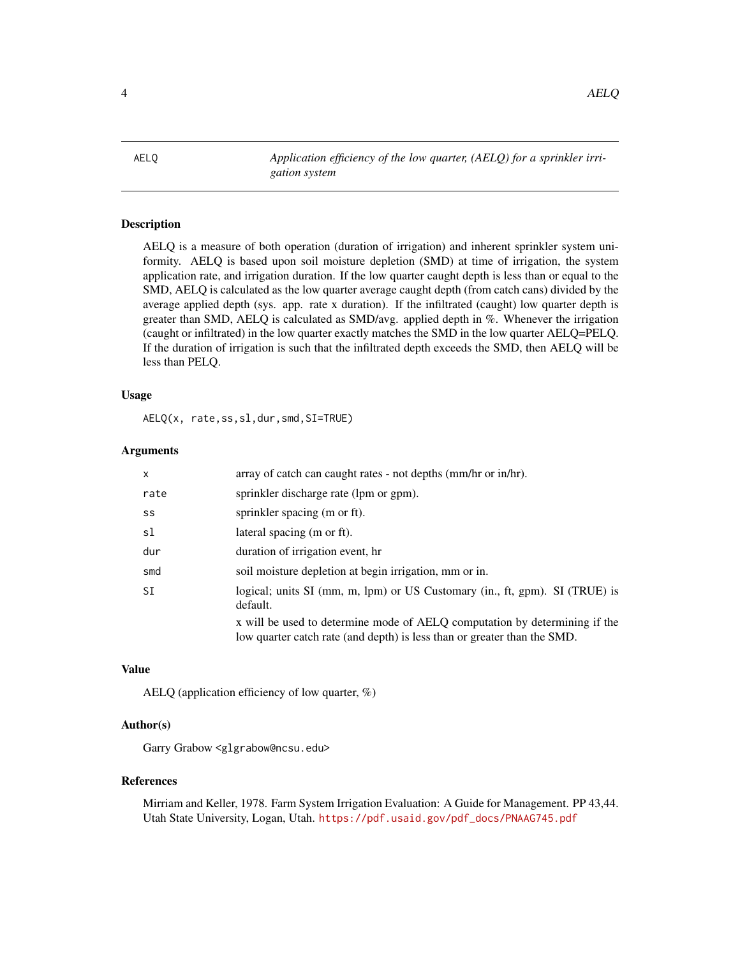<span id="page-3-0"></span>4 AELQ

<span id="page-3-1"></span>AELQ *Application efficiency of the low quarter, (AELQ) for a sprinkler irrigation system*

#### Description

AELQ is a measure of both operation (duration of irrigation) and inherent sprinkler system uniformity. AELQ is based upon soil moisture depletion (SMD) at time of irrigation, the system application rate, and irrigation duration. If the low quarter caught depth is less than or equal to the SMD, AELQ is calculated as the low quarter average caught depth (from catch cans) divided by the average applied depth (sys. app. rate x duration). If the infiltrated (caught) low quarter depth is greater than SMD, AELQ is calculated as SMD/avg. applied depth in %. Whenever the irrigation (caught or infiltrated) in the low quarter exactly matches the SMD in the low quarter AELQ=PELQ. If the duration of irrigation is such that the infiltrated depth exceeds the SMD, then AELQ will be less than PELQ.

#### Usage

AELQ(x, rate,ss,sl,dur,smd,SI=TRUE)

#### Arguments

| x         | array of catch can caught rates - not depths (mm/hr or in/hr).                                                                                         |
|-----------|--------------------------------------------------------------------------------------------------------------------------------------------------------|
| rate      | sprinkler discharge rate (lpm or gpm).                                                                                                                 |
| SS        | sprinkler spacing (m or ft).                                                                                                                           |
| sl        | lateral spacing (m or ft).                                                                                                                             |
| dur       | duration of irrigation event, hr                                                                                                                       |
| smd       | soil moisture depletion at begin irrigation, mm or in.                                                                                                 |
| <b>SI</b> | logical; units SI (mm, m, lpm) or US Customary (in., ft, gpm). SI (TRUE) is<br>default.                                                                |
|           | x will be used to determine mode of AELQ computation by determining if the<br>low quarter catch rate (and depth) is less than or greater than the SMD. |

#### Value

AELQ (application efficiency of low quarter, %)

#### Author(s)

Garry Grabow <glgrabow@ncsu.edu>

#### References

Mirriam and Keller, 1978. Farm System Irrigation Evaluation: A Guide for Management. PP 43,44. Utah State University, Logan, Utah. [https://pdf.usaid.gov/pdf\\_docs/PNAAG745.pdf](https://pdf.usaid.gov/pdf_docs/PNAAG745.pdf)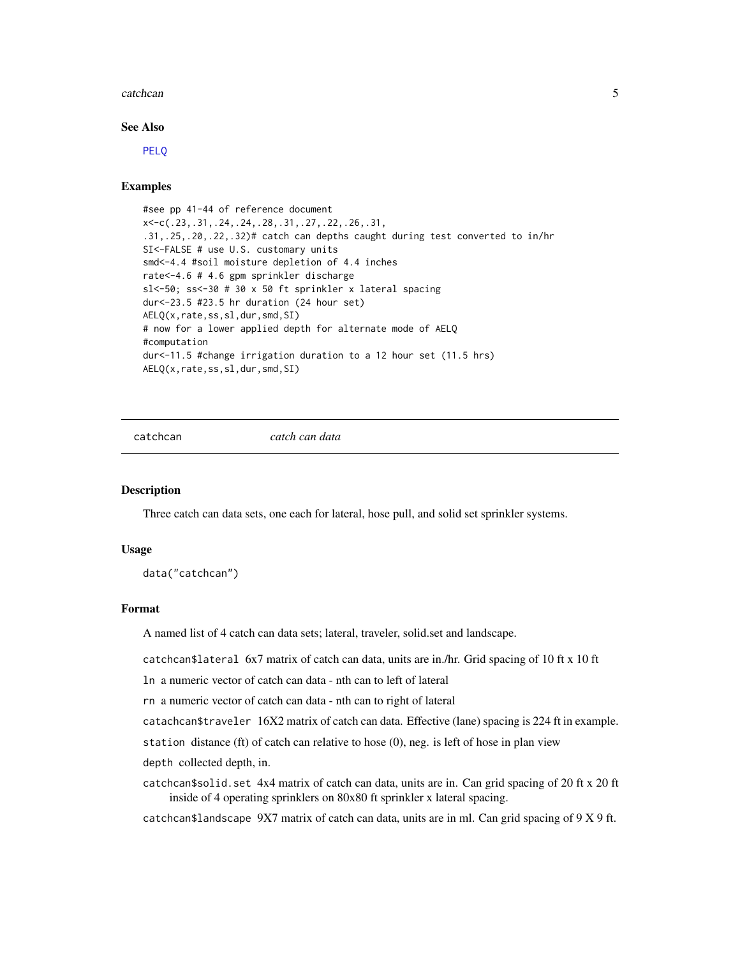#### <span id="page-4-0"></span>catchcan 5 and 5 and 5 and 5 and 5 and 5 and 6 and 6 and 6 and 6 and 6 and 6 and 6 and 6 and 6 and 6 and 6 and 6 and 6 and 6 and 6 and 6 and 6 and 6 and 6 and 6 and 6 and 6 and 6 and 6 and 6 and 6 and 6 and 6 and 6 and 6 a

#### See Also

[PELQ](#page-13-1)

#### Examples

```
#see pp 41-44 of reference document
x<-c(.23,.31,.24,.24,.28,.31,.27,.22,.26,.31,
.31,.25,.20,.22,.32)# catch can depths caught during test converted to in/hr
SI<-FALSE # use U.S. customary units
smd<-4.4 #soil moisture depletion of 4.4 inches
rate<-4.6 # 4.6 gpm sprinkler discharge
sl<-50; ss<-30 # 30 x 50 ft sprinkler x lateral spacing
dur<-23.5 #23.5 hr duration (24 hour set)
AELQ(x,rate,ss,sl,dur,smd,SI)
# now for a lower applied depth for alternate mode of AELQ
#computation
dur<-11.5 #change irrigation duration to a 12 hour set (11.5 hrs)
AELQ(x,rate,ss,sl,dur,smd,SI)
```
catchcan *catch can data*

#### **Description**

Three catch can data sets, one each for lateral, hose pull, and solid set sprinkler systems.

#### Usage

```
data("catchcan")
```
#### Format

A named list of 4 catch can data sets; lateral, traveler, solid.set and landscape.

catchcan\$lateral 6x7 matrix of catch can data, units are in./hr. Grid spacing of 10 ft x 10 ft

ln a numeric vector of catch can data - nth can to left of lateral

rn a numeric vector of catch can data - nth can to right of lateral

catachcan\$traveler 16X2 matrix of catch can data. Effective (lane) spacing is 224 ft in example.

station distance (ft) of catch can relative to hose (0), neg. is left of hose in plan view

depth collected depth, in.

catchcan\$solid.set 4x4 matrix of catch can data, units are in. Can grid spacing of 20 ft x 20 ft inside of 4 operating sprinklers on 80x80 ft sprinkler x lateral spacing.

catchcan\$landscape 9X7 matrix of catch can data, units are in ml. Can grid spacing of 9 X 9 ft.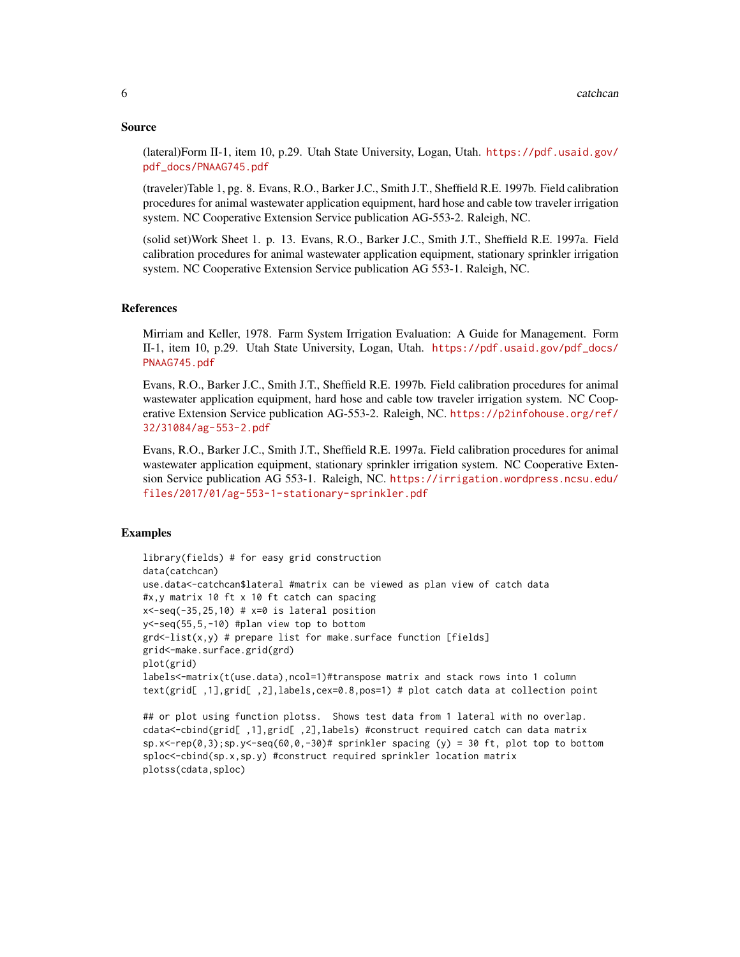#### Source

(lateral)Form II-1, item 10, p.29. Utah State University, Logan, Utah. [https://pdf.usaid.gov/](https://pdf.usaid.gov/pdf_docs/PNAAG745.pdf) [pdf\\_docs/PNAAG745.pdf](https://pdf.usaid.gov/pdf_docs/PNAAG745.pdf)

(traveler)Table 1, pg. 8. Evans, R.O., Barker J.C., Smith J.T., Sheffield R.E. 1997b. Field calibration procedures for animal wastewater application equipment, hard hose and cable tow traveler irrigation system. NC Cooperative Extension Service publication AG-553-2. Raleigh, NC.

(solid set)Work Sheet 1. p. 13. Evans, R.O., Barker J.C., Smith J.T., Sheffield R.E. 1997a. Field calibration procedures for animal wastewater application equipment, stationary sprinkler irrigation system. NC Cooperative Extension Service publication AG 553-1. Raleigh, NC.

#### References

Mirriam and Keller, 1978. Farm System Irrigation Evaluation: A Guide for Management. Form II-1, item 10, p.29. Utah State University, Logan, Utah. [https://pdf.usaid.gov/pdf\\_docs/](https://pdf.usaid.gov/pdf_docs/PNAAG745.pdf) [PNAAG745.pdf](https://pdf.usaid.gov/pdf_docs/PNAAG745.pdf)

Evans, R.O., Barker J.C., Smith J.T., Sheffield R.E. 1997b. Field calibration procedures for animal wastewater application equipment, hard hose and cable tow traveler irrigation system. NC Cooperative Extension Service publication AG-553-2. Raleigh, NC. [https://p2infohouse.org/ref/](https://p2infohouse.org/ref/32/31084/ag-553-2.pdf) [32/31084/ag-553-2.pdf](https://p2infohouse.org/ref/32/31084/ag-553-2.pdf)

Evans, R.O., Barker J.C., Smith J.T., Sheffield R.E. 1997a. Field calibration procedures for animal wastewater application equipment, stationary sprinkler irrigation system. NC Cooperative Extension Service publication AG 553-1. Raleigh, NC. [https://irrigation.wordpress.ncsu.edu/](https://irrigation.wordpress.ncsu.edu/files/2017/01/ag-553-1-stationary-sprinkler.pdf) [files/2017/01/ag-553-1-stationary-sprinkler.pdf](https://irrigation.wordpress.ncsu.edu/files/2017/01/ag-553-1-stationary-sprinkler.pdf)

#### Examples

```
library(fields) # for easy grid construction
data(catchcan)
use.data<-catchcan$lateral #matrix can be viewed as plan view of catch data
#x,y matrix 10 ft x 10 ft catch can spacing
x < -seq(-35, 25, 10) # x=0 is lateral position
y<-seq(55,5,-10) #plan view top to bottom
grd<-list(x,y) # prepare list for make.surface function [fields]
grid<-make.surface.grid(grd)
plot(grid)
labels<-matrix(t(use.data),ncol=1)#transpose matrix and stack rows into 1 column
text(grid[ ,1],grid[ ,2],labels,cex=0.8,pos=1) # plot catch data at collection point
```

```
## or plot using function plotss. Shows test data from 1 lateral with no overlap.
cdata<-cbind(grid[ ,1],grid[ ,2],labels) #construct required catch can data matrix
sp.x \le rep(\emptyset,3); sp.y \le seg(60,0,-30)# sprinkler spacing (y) = 30 ft, plot top to bottom
sploc<-cbind(sp.x,sp.y) #construct required sprinkler location matrix
plotss(cdata,sploc)
```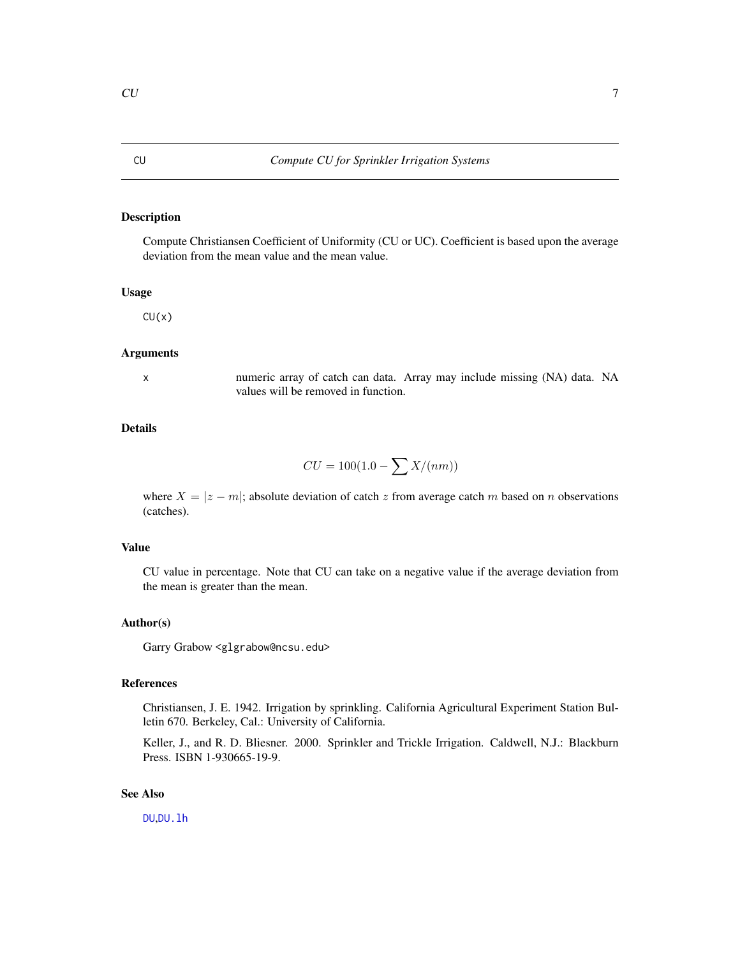#### Description

Compute Christiansen Coefficient of Uniformity (CU or UC). Coefficient is based upon the average deviation from the mean value and the mean value.

#### Usage

 $CU(x)$ 

#### Arguments

x numeric array of catch can data. Array may include missing (NA) data. NA values will be removed in function.

#### Details

$$
CU = 100(1.0 - \sum X/(nm))
$$

where  $X = |z - m|$ ; absolute deviation of catch z from average catch m based on n observations (catches).

#### Value

CU value in percentage. Note that CU can take on a negative value if the average deviation from the mean is greater than the mean.

#### Author(s)

Garry Grabow <glgrabow@ncsu.edu>

#### References

Christiansen, J. E. 1942. Irrigation by sprinkling. California Agricultural Experiment Station Bulletin 670. Berkeley, Cal.: University of California.

Keller, J., and R. D. Bliesner. 2000. Sprinkler and Trickle Irrigation. Caldwell, N.J.: Blackburn Press. ISBN 1-930665-19-9.

#### See Also

[DU](#page-7-1),[DU.lh](#page-8-1)

<span id="page-6-1"></span><span id="page-6-0"></span>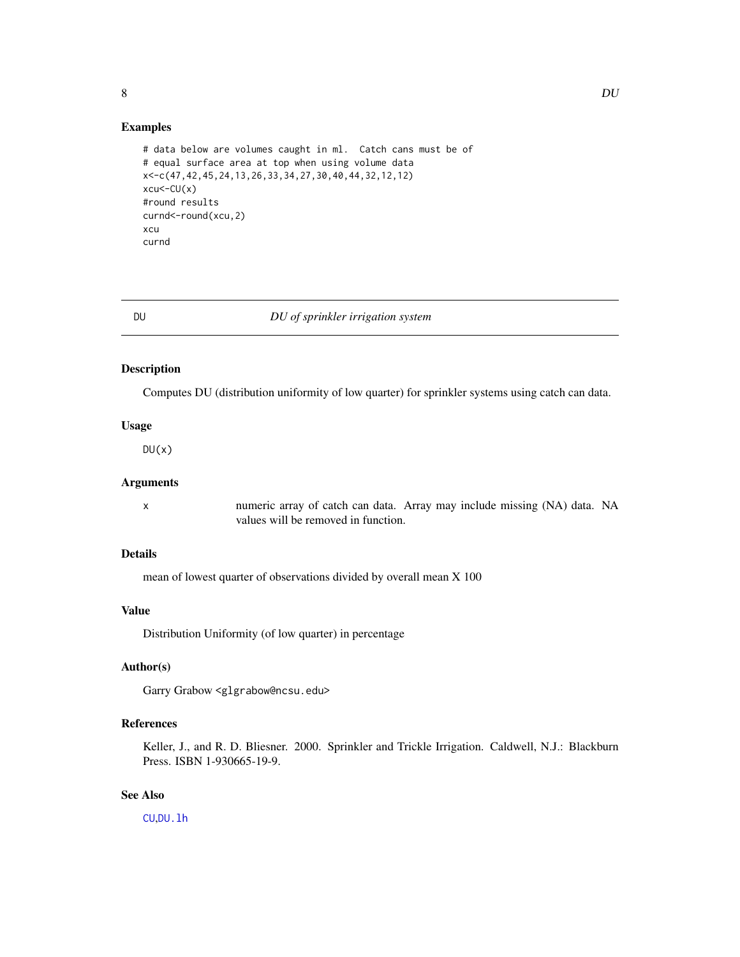<span id="page-7-0"></span>

#### Examples

```
# data below are volumes caught in ml. Catch cans must be of
# equal surface area at top when using volume data
x<-c(47,42,45,24,13,26,33,34,27,30,40,44,32,12,12)
xcu<-CU(x)#round results
curnd<-round(xcu,2)
xcu
curnd
```
<span id="page-7-1"></span>

#### DU *DU of sprinkler irrigation system*

#### Description

Computes DU (distribution uniformity of low quarter) for sprinkler systems using catch can data.

#### Usage

 $DU(x)$ 

#### Arguments

x numeric array of catch can data. Array may include missing (NA) data. NA values will be removed in function.

#### Details

mean of lowest quarter of observations divided by overall mean X 100

#### Value

Distribution Uniformity (of low quarter) in percentage

#### Author(s)

Garry Grabow <glgrabow@ncsu.edu>

#### References

Keller, J., and R. D. Bliesner. 2000. Sprinkler and Trickle Irrigation. Caldwell, N.J.: Blackburn Press. ISBN 1-930665-19-9.

#### See Also

[CU](#page-6-1),[DU.lh](#page-8-1)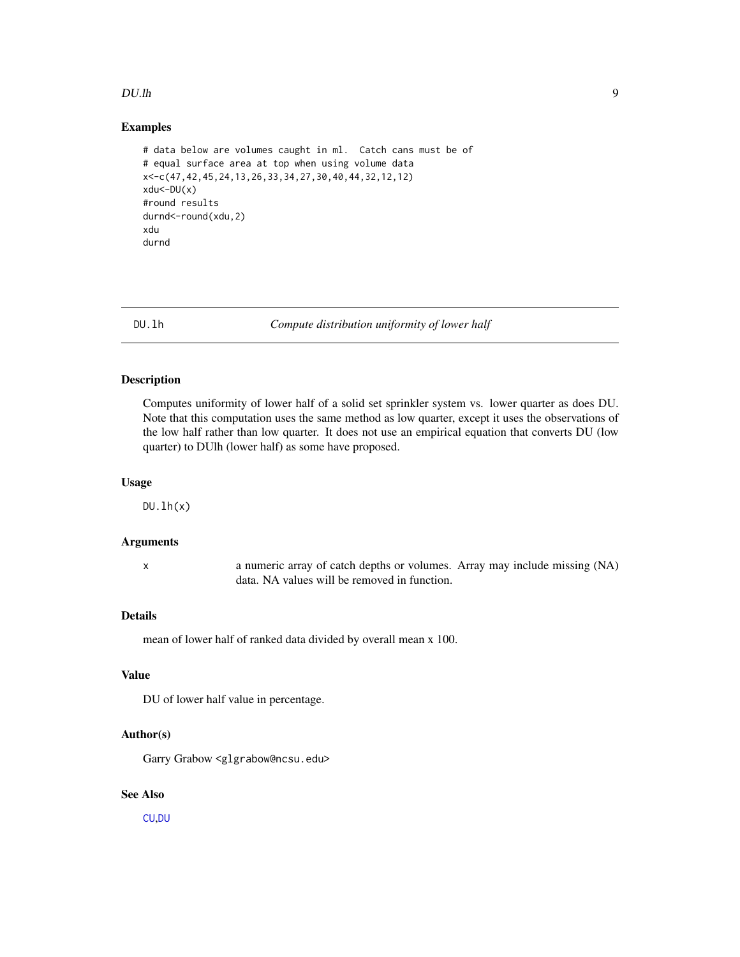#### <span id="page-8-0"></span> $DU.h$  9

#### Examples

```
# data below are volumes caught in ml. Catch cans must be of
# equal surface area at top when using volume data
x<-c(47,42,45,24,13,26,33,34,27,30,40,44,32,12,12)
xdu<-DU(x)
#round results
durnd<-round(xdu,2)
xdu
durnd
```
<span id="page-8-1"></span>DU.lh *Compute distribution uniformity of lower half*

#### Description

Computes uniformity of lower half of a solid set sprinkler system vs. lower quarter as does DU. Note that this computation uses the same method as low quarter, except it uses the observations of the low half rather than low quarter. It does not use an empirical equation that converts DU (low quarter) to DUlh (lower half) as some have proposed.

#### Usage

 $DU.lh(x)$ 

#### Arguments

x a numeric array of catch depths or volumes. Array may include missing (NA) data. NA values will be removed in function.

#### Details

mean of lower half of ranked data divided by overall mean x 100.

#### Value

DU of lower half value in percentage.

#### Author(s)

Garry Grabow <glgrabow@ncsu.edu>

#### See Also

[CU](#page-6-1),[DU](#page-7-1)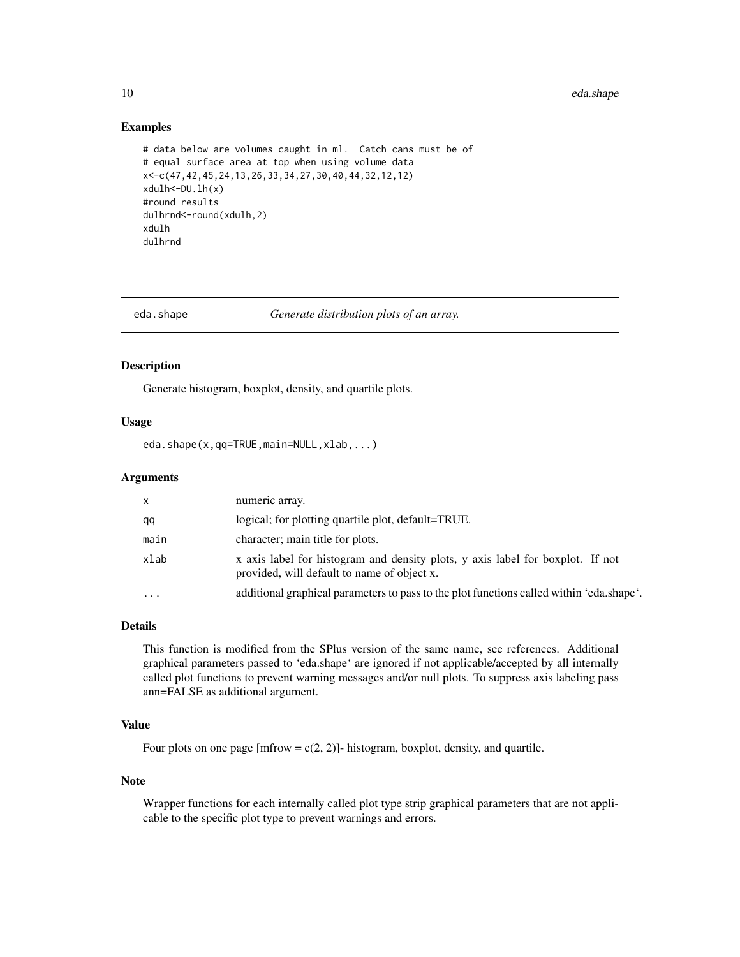#### <span id="page-9-0"></span>Examples

```
# data below are volumes caught in ml. Catch cans must be of
# equal surface area at top when using volume data
x<-c(47,42,45,24,13,26,33,34,27,30,40,44,32,12,12)
xdulh<-DU.lh(x)
#round results
dulhrnd<-round(xdulh,2)
xdulh
dulhrnd
```
<span id="page-9-1"></span>

eda.shape *Generate distribution plots of an array.*

#### Description

Generate histogram, boxplot, density, and quartile plots.

#### Usage

eda.shape(x,qq=TRUE,main=NULL,xlab,...)

#### Arguments

| X         | numeric array.                                                                                                                |
|-----------|-------------------------------------------------------------------------------------------------------------------------------|
| qq        | logical; for plotting quartile plot, default=TRUE.                                                                            |
| main      | character; main title for plots.                                                                                              |
| xlab      | x axis label for histogram and density plots, y axis label for boxplot. If not<br>provided, will default to name of object x. |
| $\ddotsc$ | additional graphical parameters to pass to the plot functions called within 'eda.shape'.                                      |

#### Details

This function is modified from the SPlus version of the same name, see references. Additional graphical parameters passed to 'eda.shape' are ignored if not applicable/accepted by all internally called plot functions to prevent warning messages and/or null plots. To suppress axis labeling pass ann=FALSE as additional argument.

#### Value

Four plots on one page [mfrow =  $c(2, 2)$ ]- histogram, boxplot, density, and quartile.

#### Note

Wrapper functions for each internally called plot type strip graphical parameters that are not applicable to the specific plot type to prevent warnings and errors.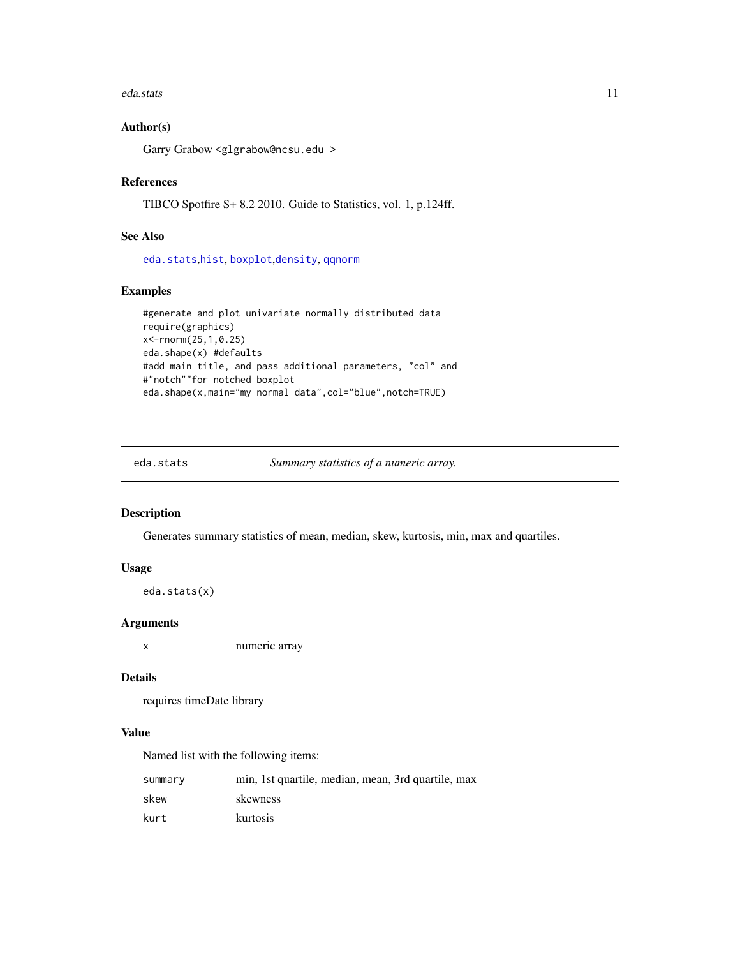#### <span id="page-10-0"></span>eda.stats 11

#### Author(s)

Garry Grabow <glgrabow@ncsu.edu >

#### References

TIBCO Spotfire S+ 8.2 2010. Guide to Statistics, vol. 1, p.124ff.

#### See Also

[eda.stats](#page-10-1),[hist](#page-0-0), [boxplot](#page-0-0),[density](#page-0-0), [qqnorm](#page-0-0)

### Examples

```
#generate and plot univariate normally distributed data
require(graphics)
x<-rnorm(25,1,0.25)
eda.shape(x) #defaults
#add main title, and pass additional parameters, "col" and
#"notch""for notched boxplot
eda.shape(x,main="my normal data",col="blue",notch=TRUE)
```
<span id="page-10-1"></span>

| eda.stats | Summary statistics of a numeric array. |  |
|-----------|----------------------------------------|--|
|           |                                        |  |

#### Description

Generates summary statistics of mean, median, skew, kurtosis, min, max and quartiles.

#### Usage

```
eda.stats(x)
```
#### Arguments

x numeric array

#### Details

requires timeDate library

#### Value

Named list with the following items:

| summary | min, 1st quartile, median, mean, 3rd quartile, max |
|---------|----------------------------------------------------|
| skew    | skewness                                           |
| kurt    | kurtosis                                           |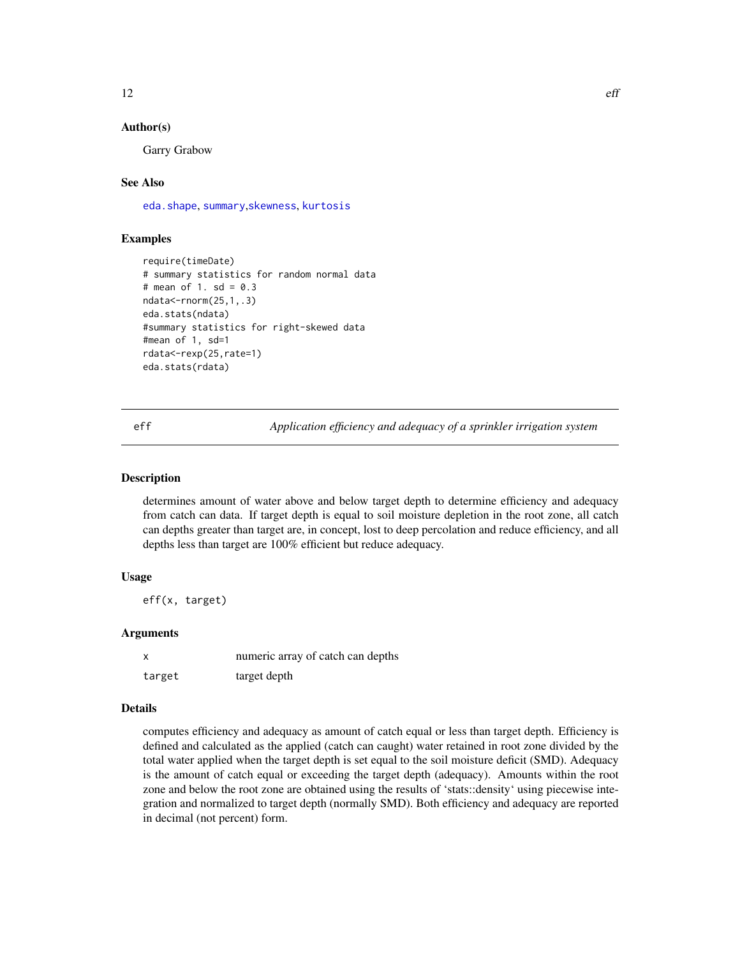#### <span id="page-11-0"></span>Author(s)

Garry Grabow

#### See Also

[eda.shape](#page-9-1), [summary](#page-0-0),[skewness](#page-0-0), [kurtosis](#page-0-0)

#### Examples

```
require(timeDate)
# summary statistics for random normal data
# mean of 1. sd = 0.3ndata<-rnorm(25,1,.3)
eda.stats(ndata)
#summary statistics for right-skewed data
#mean of 1, sd=1
rdata<-rexp(25,rate=1)
eda.stats(rdata)
```
<span id="page-11-1"></span>eff *Application efficiency and adequacy of a sprinkler irrigation system*

#### Description

determines amount of water above and below target depth to determine efficiency and adequacy from catch can data. If target depth is equal to soil moisture depletion in the root zone, all catch can depths greater than target are, in concept, lost to deep percolation and reduce efficiency, and all depths less than target are 100% efficient but reduce adequacy.

#### Usage

eff(x, target)

#### Arguments

|        | numeric array of catch can depths |
|--------|-----------------------------------|
| target | target depth                      |

#### Details

computes efficiency and adequacy as amount of catch equal or less than target depth. Efficiency is defined and calculated as the applied (catch can caught) water retained in root zone divided by the total water applied when the target depth is set equal to the soil moisture deficit (SMD). Adequacy is the amount of catch equal or exceeding the target depth (adequacy). Amounts within the root zone and below the root zone are obtained using the results of 'stats::density' using piecewise integration and normalized to target depth (normally SMD). Both efficiency and adequacy are reported in decimal (not percent) form.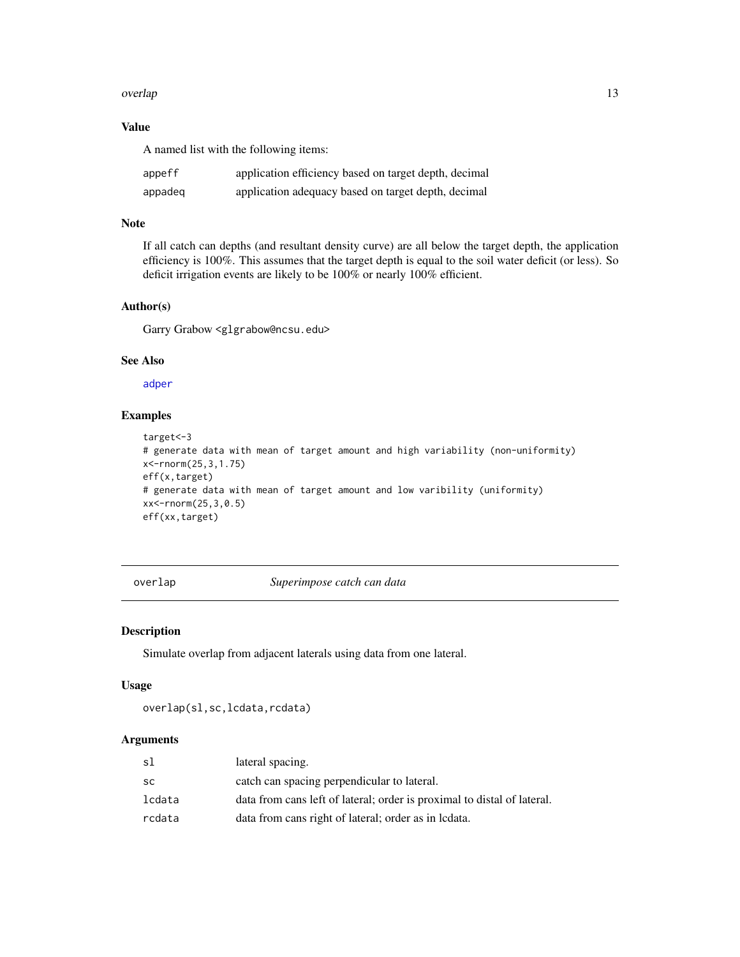#### <span id="page-12-0"></span>overlap to the contract of the contract of the contract of the contract of the contract of the contract of the contract of the contract of the contract of the contract of the contract of the contract of the contract of the

#### Value

A named list with the following items:

| appeff  | application efficiency based on target depth, decimal |
|---------|-------------------------------------------------------|
| appadeg | application adequacy based on target depth, decimal   |

#### Note

If all catch can depths (and resultant density curve) are all below the target depth, the application efficiency is 100%. This assumes that the target depth is equal to the soil water deficit (or less). So deficit irrigation events are likely to be 100% or nearly 100% efficient.

#### Author(s)

Garry Grabow <glgrabow@ncsu.edu>

#### See Also

[adper](#page-1-1)

#### Examples

```
target<-3
# generate data with mean of target amount and high variability (non-uniformity)
x<-rnorm(25,3,1.75)
eff(x,target)
# generate data with mean of target amount and low varibility (uniformity)
xx<-rnorm(25,3,0.5)
eff(xx,target)
```
overlap *Superimpose catch can data*

#### Description

Simulate overlap from adjacent laterals using data from one lateral.

#### Usage

```
overlap(sl,sc,lcdata,rcdata)
```
#### Arguments

| sl        | lateral spacing.                                                        |
|-----------|-------------------------------------------------------------------------|
| <b>SC</b> | catch can spacing perpendicular to lateral.                             |
| lcdata    | data from cans left of lateral; order is proximal to distal of lateral. |
| rcdata    | data from cans right of lateral; order as in lodata.                    |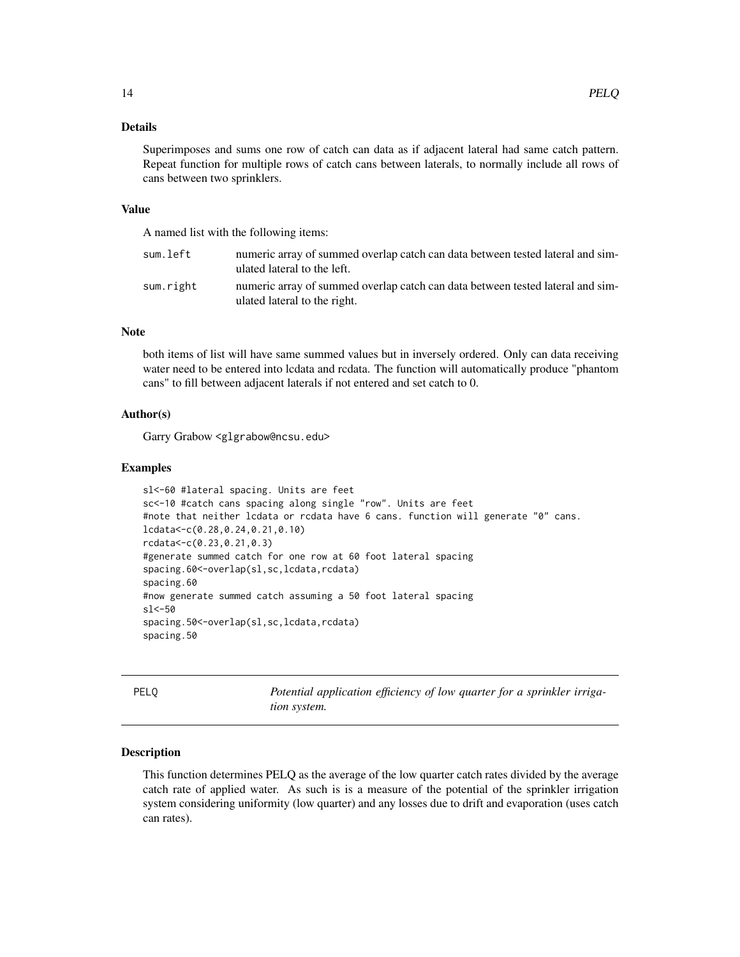#### <span id="page-13-0"></span>Details

Superimposes and sums one row of catch can data as if adjacent lateral had same catch pattern. Repeat function for multiple rows of catch cans between laterals, to normally include all rows of cans between two sprinklers.

#### Value

A named list with the following items:

| sum.left  | numeric array of summed overlap catch can data between tested lateral and sim-<br>ulated lateral to the left.  |
|-----------|----------------------------------------------------------------------------------------------------------------|
| sum.right | numeric array of summed overlap catch can data between tested lateral and sim-<br>ulated lateral to the right. |

#### **Note**

both items of list will have same summed values but in inversely ordered. Only can data receiving water need to be entered into lcdata and rcdata. The function will automatically produce "phantom cans" to fill between adjacent laterals if not entered and set catch to 0.

#### Author(s)

Garry Grabow <glgrabow@ncsu.edu>

#### Examples

```
sl<-60 #lateral spacing. Units are feet
sc<-10 #catch cans spacing along single "row". Units are feet
#note that neither lcdata or rcdata have 6 cans. function will generate "0" cans.
lcdata<-c(0.28,0.24,0.21,0.10)
rcdata<-c(0.23,0.21,0.3)
#generate summed catch for one row at 60 foot lateral spacing
spacing.60<-overlap(sl,sc,lcdata,rcdata)
spacing.60
#now generate summed catch assuming a 50 foot lateral spacing
sl<-50
spacing.50<-overlap(sl,sc,lcdata,rcdata)
spacing.50
```
<span id="page-13-1"></span>PELQ *Potential application efficiency of low quarter for a sprinkler irrigation system.*

#### Description

This function determines PELQ as the average of the low quarter catch rates divided by the average catch rate of applied water. As such is is a measure of the potential of the sprinkler irrigation system considering uniformity (low quarter) and any losses due to drift and evaporation (uses catch can rates).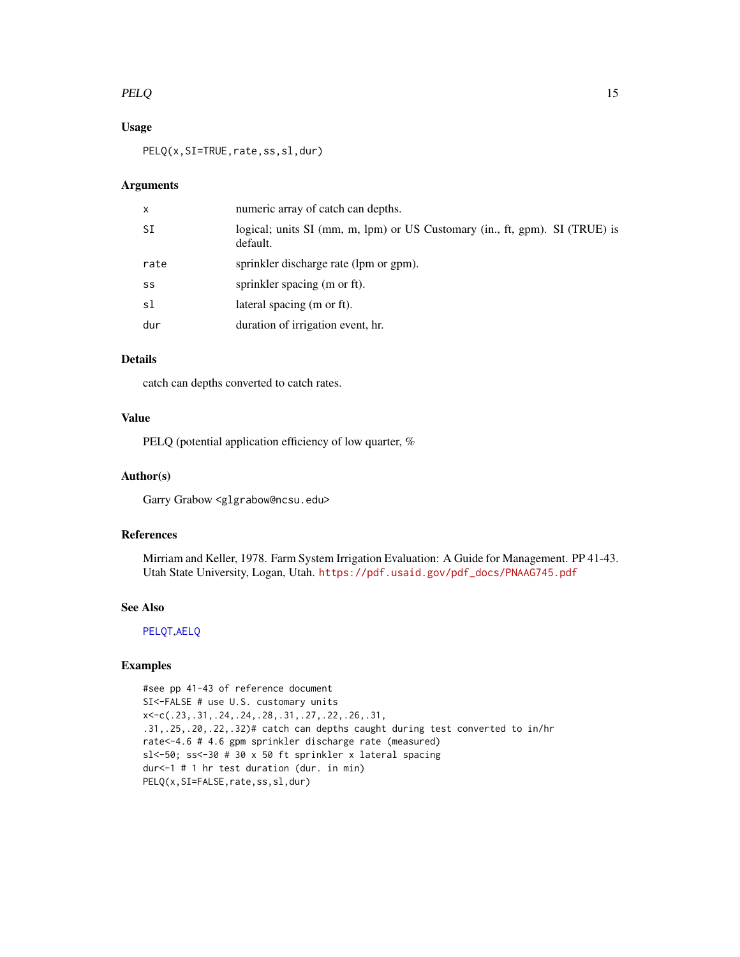#### <span id="page-14-0"></span> $PELQ$  and the set of the set of the set of the set of the set of the set of the set of the set of the set of the set of the set of the set of the set of the set of the set of the set of the set of the set of the set of th

#### Usage

PELQ(x, SI=TRUE, rate, ss, sl, dur)

#### Arguments

| $\mathsf{x}$ | numeric array of catch can depths.                                                      |
|--------------|-----------------------------------------------------------------------------------------|
| SΙ           | logical; units SI (mm, m, lpm) or US Customary (in., ft, gpm). SI (TRUE) is<br>default. |
| rate         | sprinkler discharge rate (lpm or gpm).                                                  |
| SS           | sprinkler spacing (m or ft).                                                            |
| sl           | lateral spacing (m or ft).                                                              |
| dur          | duration of irrigation event, hr.                                                       |

#### Details

catch can depths converted to catch rates.

#### Value

PELQ (potential application efficiency of low quarter, %

#### Author(s)

Garry Grabow <glgrabow@ncsu.edu>

#### References

Mirriam and Keller, 1978. Farm System Irrigation Evaluation: A Guide for Management. PP 41-43. Utah State University, Logan, Utah. [https://pdf.usaid.gov/pdf\\_docs/PNAAG745.pdf](https://pdf.usaid.gov/pdf_docs/PNAAG745.pdf)

#### See Also

[PELQT](#page-15-1),[AELQ](#page-3-1)

#### Examples

#see pp 41-43 of reference document SI<-FALSE # use U.S. customary units x<-c(.23,.31,.24,.24,.28,.31,.27,.22,.26,.31, .31,.25,.20,.22,.32)# catch can depths caught during test converted to in/hr rate<-4.6 # 4.6 gpm sprinkler discharge rate (measured) sl<-50; ss<-30 # 30 x 50 ft sprinkler x lateral spacing dur<-1 # 1 hr test duration (dur. in min) PELQ(x, SI=FALSE, rate, ss, sl, dur)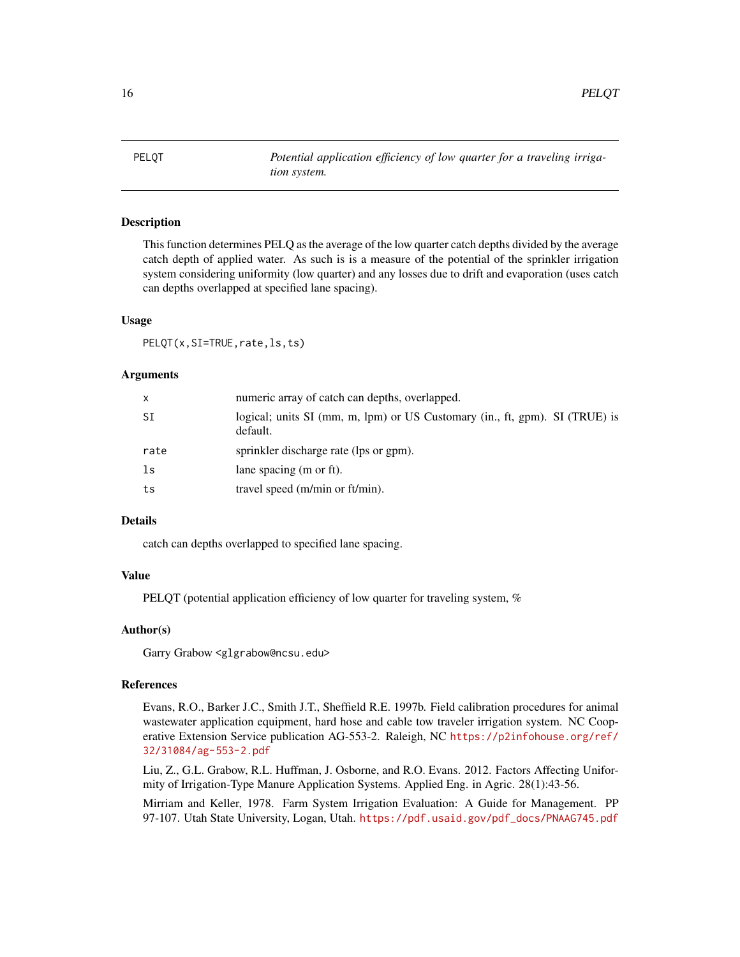<span id="page-15-1"></span><span id="page-15-0"></span>PELQT *Potential application efficiency of low quarter for a traveling irrigation system.*

#### Description

This function determines PELQ as the average of the low quarter catch depths divided by the average catch depth of applied water. As such is is a measure of the potential of the sprinkler irrigation system considering uniformity (low quarter) and any losses due to drift and evaporation (uses catch can depths overlapped at specified lane spacing).

#### Usage

PELQT(x,SI=TRUE,rate,ls,ts)

#### Arguments

| X    | numeric array of catch can depths, overlapped.                                          |
|------|-----------------------------------------------------------------------------------------|
| SI   | logical; units SI (mm, m, lpm) or US Customary (in., ft, gpm). SI (TRUE) is<br>default. |
| rate | sprinkler discharge rate (lps or gpm).                                                  |
| ls   | lane spacing (m or ft).                                                                 |
| ts   | travel speed (m/min or ft/min).                                                         |

#### Details

catch can depths overlapped to specified lane spacing.

#### Value

PELQT (potential application efficiency of low quarter for traveling system, %

#### Author(s)

Garry Grabow <glgrabow@ncsu.edu>

#### References

Evans, R.O., Barker J.C., Smith J.T., Sheffield R.E. 1997b. Field calibration procedures for animal wastewater application equipment, hard hose and cable tow traveler irrigation system. NC Cooperative Extension Service publication AG-553-2. Raleigh, NC [https://p2infohouse.org/ref/](https://p2infohouse.org/ref/32/31084/ag-553-2.pdf) [32/31084/ag-553-2.pdf](https://p2infohouse.org/ref/32/31084/ag-553-2.pdf)

Liu, Z., G.L. Grabow, R.L. Huffman, J. Osborne, and R.O. Evans. 2012. Factors Affecting Uniformity of Irrigation-Type Manure Application Systems. Applied Eng. in Agric. 28(1):43-56.

Mirriam and Keller, 1978. Farm System Irrigation Evaluation: A Guide for Management. PP 97-107. Utah State University, Logan, Utah. [https://pdf.usaid.gov/pdf\\_docs/PNAAG745.pdf](https://pdf.usaid.gov/pdf_docs/PNAAG745.pdf)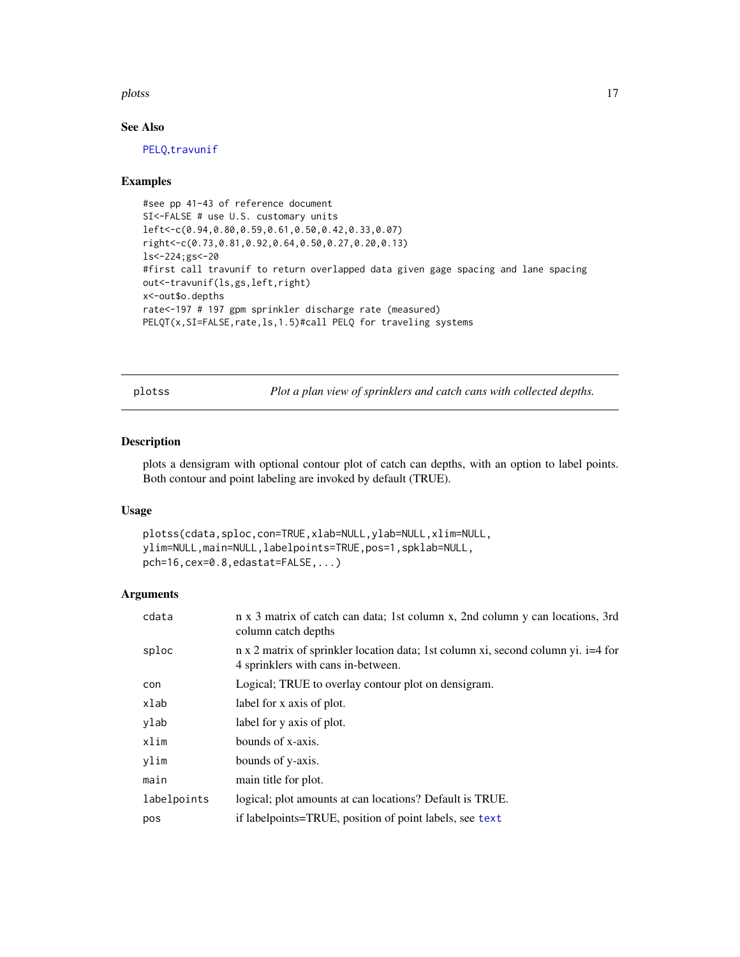#### <span id="page-16-0"></span>plotss and the plot of the set of the set of the set of the set of the set of the set of the set of the set of the set of the set of the set of the set of the set of the set of the set of the set of the set of the set of t

#### See Also

[PELQ](#page-13-1),[travunif](#page-21-1)

#### Examples

```
#see pp 41-43 of reference document
SI<-FALSE # use U.S. customary units
left<-c(0.94,0.80,0.59,0.61,0.50,0.42,0.33,0.07)
right<-c(0.73,0.81,0.92,0.64,0.50,0.27,0.20,0.13)
ls<-224;gs<-20
#first call travunif to return overlapped data given gage spacing and lane spacing
out<-travunif(ls,gs,left,right)
x<-out$o.depths
rate<-197 # 197 gpm sprinkler discharge rate (measured)
PELQT(x, SI=FALSE, rate, ls, 1.5)#call PELQ for traveling systems
```
plotss *Plot a plan view of sprinklers and catch cans with collected depths.*

#### Description

plots a densigram with optional contour plot of catch can depths, with an option to label points. Both contour and point labeling are invoked by default (TRUE).

#### Usage

```
plotss(cdata,sploc,con=TRUE,xlab=NULL,ylab=NULL,xlim=NULL,
ylim=NULL,main=NULL,labelpoints=TRUE,pos=1,spklab=NULL,
pch=16,cex=0.8,edastat=FALSE,...)
```
#### Arguments

| cdata       | n x 3 matrix of catch can data; 1st column x, 2nd column y can locations, 3rd<br>column catch depths                    |
|-------------|-------------------------------------------------------------------------------------------------------------------------|
| sploc       | n x 2 matrix of sprinkler location data; 1st column xi, second column yi. i=4 for<br>4 sprinklers with cans in-between. |
| con         | Logical; TRUE to overlay contour plot on densigram.                                                                     |
| xlab        | label for x axis of plot.                                                                                               |
| ylab        | label for y axis of plot.                                                                                               |
| xlim        | bounds of x-axis.                                                                                                       |
| ylim        | bounds of y-axis.                                                                                                       |
| main        | main title for plot.                                                                                                    |
| labelpoints | logical; plot amounts at can locations? Default is TRUE.                                                                |
| pos         | if labelpoints=TRUE, position of point labels, see text                                                                 |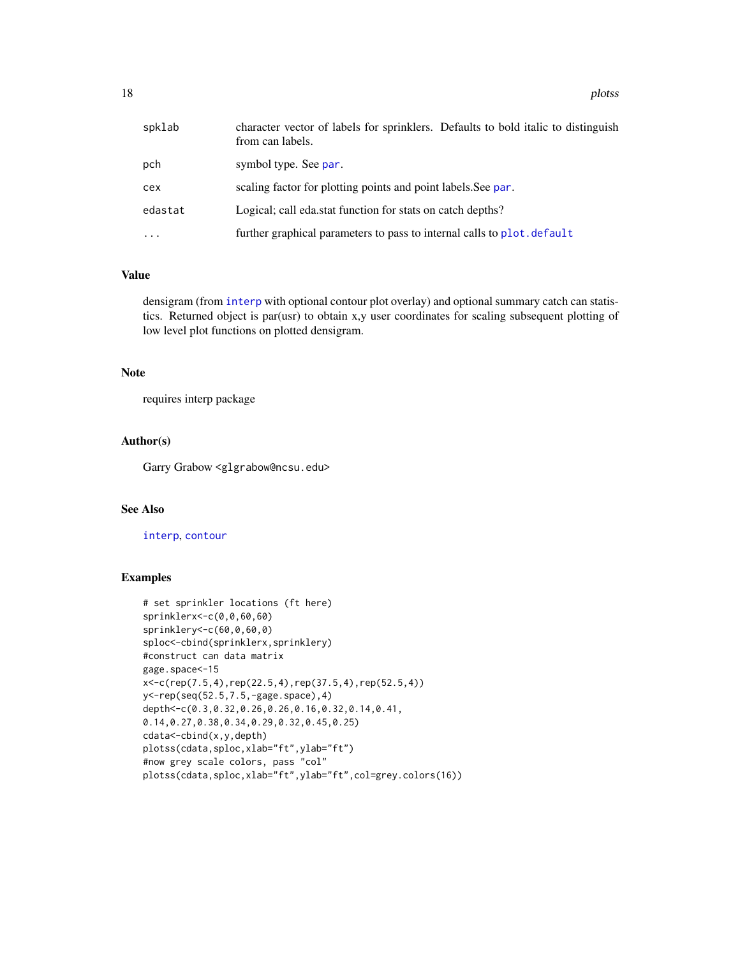<span id="page-17-0"></span>18 plots and the plots of the plots of the plots of the plots of the plots of the plots of the plots of the plots of the plots of the plots of the plots of the plots of the plots of the plots of the plots of the plots of t

| spklab   | character vector of labels for sprinklers. Defaults to bold italic to distinguish<br>from can labels. |
|----------|-------------------------------------------------------------------------------------------------------|
| pch      | symbol type. See par.                                                                                 |
| cex      | scaling factor for plotting points and point labels. See par.                                         |
| edastat  | Logical; call eda.stat function for stats on catch depths?                                            |
| $\ddots$ | further graphical parameters to pass to internal calls to plot. default                               |

#### Value

densigram (from [interp](#page-0-0) with optional contour plot overlay) and optional summary catch can statistics. Returned object is par(usr) to obtain x,y user coordinates for scaling subsequent plotting of low level plot functions on plotted densigram.

#### Note

requires interp package

#### Author(s)

Garry Grabow <glgrabow@ncsu.edu>

#### See Also

#### [interp](#page-0-0), [contour](#page-0-0)

#### Examples

```
# set sprinkler locations (ft here)
sprinklerx<-c(0,0,60,60)
sprinklery<-c(60,0,60,0)
sploc<-cbind(sprinklerx,sprinklery)
#construct can data matrix
gage.space<-15
x<-c(rep(7.5,4),rep(22.5,4),rep(37.5,4),rep(52.5,4))
y<-rep(seq(52.5,7.5,-gage.space),4)
depth<-c(0.3,0.32,0.26,0.26,0.16,0.32,0.14,0.41,
0.14,0.27,0.38,0.34,0.29,0.32,0.45,0.25)
cdata<-cbind(x,y,depth)
plotss(cdata,sploc,xlab="ft",ylab="ft")
#now grey scale colors, pass "col"
plotss(cdata,sploc,xlab="ft",ylab="ft",col=grey.colors(16))
```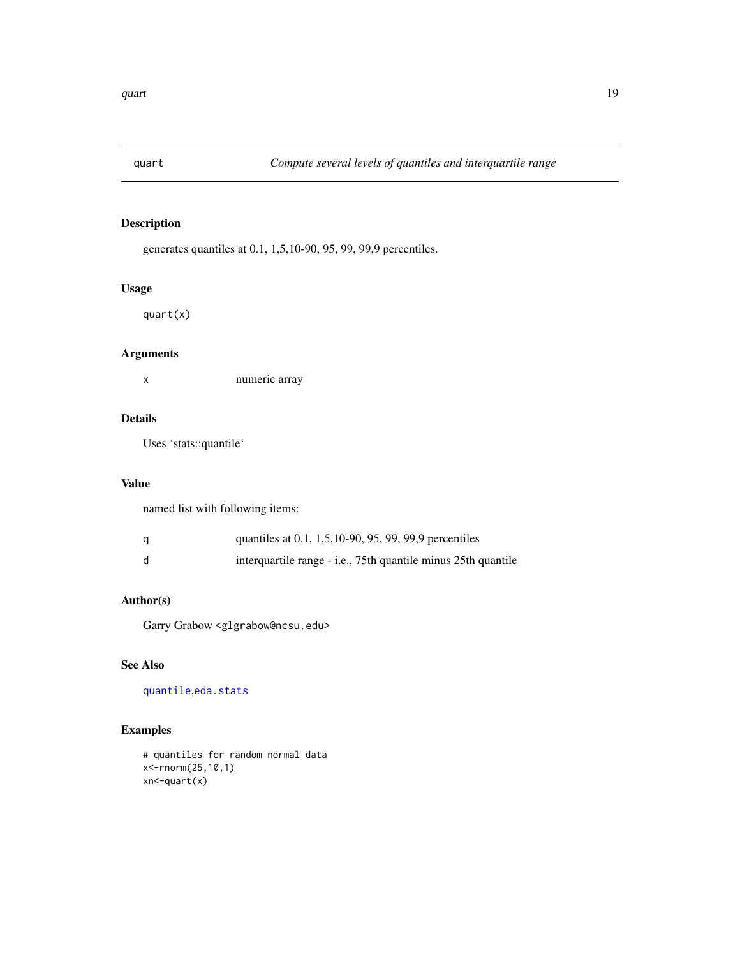<span id="page-18-0"></span>

#### Description

generates quantiles at 0.1, 1,5,10-90, 95, 99, 99,9 percentiles.

#### Usage

quart(x)

#### Arguments

x numeric array

#### Details

Uses 'stats::quantile'

#### Value

named list with following items:

| quantiles at 0.1, 1,5,10-90, 95, 99, 99,9 percentiles         |
|---------------------------------------------------------------|
| interquartile range - i.e., 75th quantile minus 25th quantile |

#### Author(s)

Garry Grabow <glgrabow@ncsu.edu>

## See Also

[quantile](#page-0-0),[eda.stats](#page-10-1)

#### Examples

# quantiles for random normal data x<-rnorm(25,10,1) xn<-quart(x)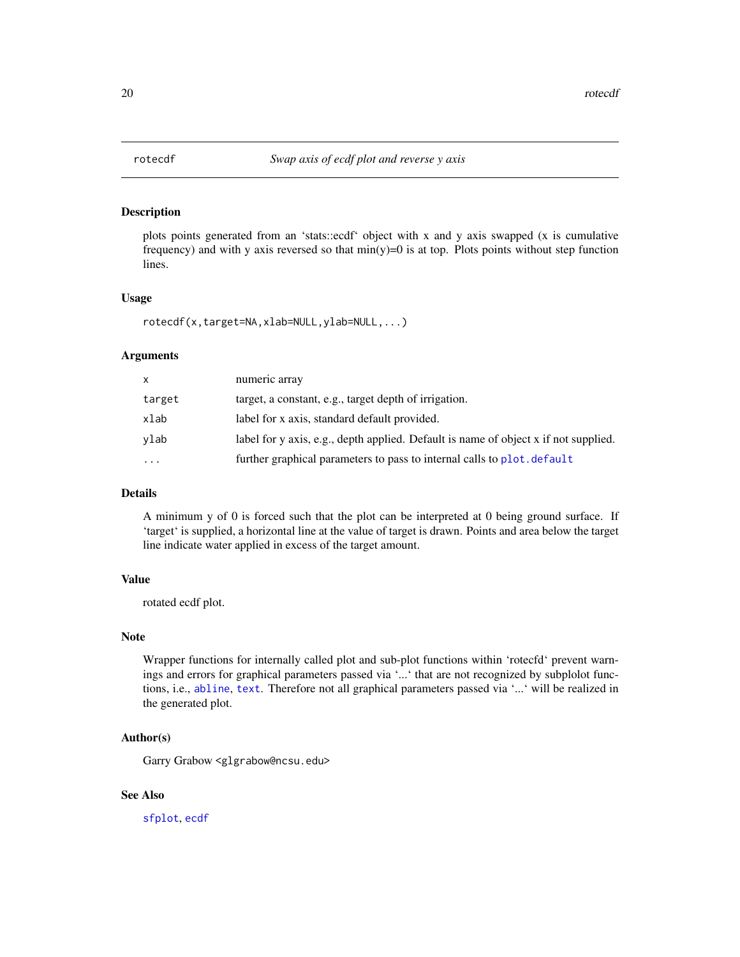<span id="page-19-1"></span><span id="page-19-0"></span>

#### Description

plots points generated from an 'stats::ecdf' object with x and y axis swapped (x is cumulative frequency) and with y axis reversed so that  $min(y)=0$  is at top. Plots points without step function lines.

#### Usage

```
rotecdf(x,target=NA,xlab=NULL,ylab=NULL,...)
```
#### Arguments

| x         | numeric array                                                                       |
|-----------|-------------------------------------------------------------------------------------|
| target    | target, a constant, e.g., target depth of irrigation.                               |
| xlab      | label for x axis, standard default provided.                                        |
| vlab      | label for y axis, e.g., depth applied. Default is name of object x if not supplied. |
| $\ddotsc$ | further graphical parameters to pass to internal calls to plot. default             |
|           |                                                                                     |

#### Details

A minimum y of 0 is forced such that the plot can be interpreted at 0 being ground surface. If 'target' is supplied, a horizontal line at the value of target is drawn. Points and area below the target line indicate water applied in excess of the target amount.

#### Value

rotated ecdf plot.

#### Note

Wrapper functions for internally called plot and sub-plot functions within 'rotecfd' prevent warnings and errors for graphical parameters passed via '...' that are not recognized by subplolot functions, i.e., [abline](#page-0-0), [text](#page-0-0). Therefore not all graphical parameters passed via '...' will be realized in the generated plot.

#### Author(s)

Garry Grabow <glgrabow@ncsu.edu>

#### See Also

[sfplot](#page-20-1), [ecdf](#page-0-0)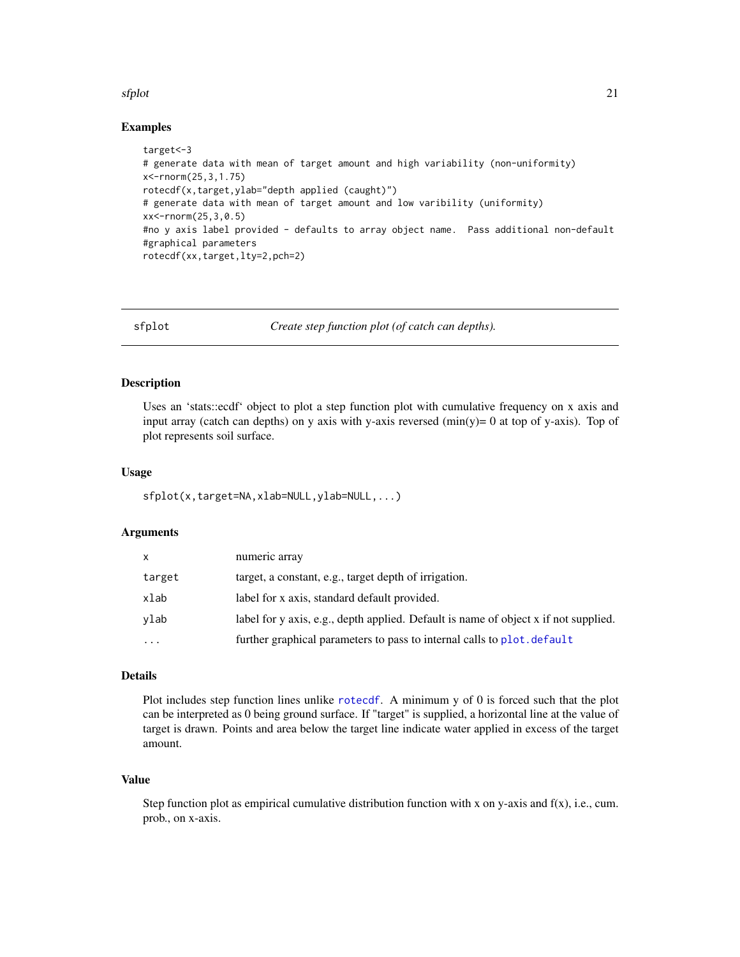#### <span id="page-20-0"></span>sfplot 21

#### Examples

```
target<-3
# generate data with mean of target amount and high variability (non-uniformity)
x<-rnorm(25,3,1.75)
rotecdf(x,target,ylab="depth applied (caught)")
# generate data with mean of target amount and low varibility (uniformity)
xx<-rnorm(25,3,0.5)
#no y axis label provided - defaults to array object name. Pass additional non-default
#graphical parameters
rotecdf(xx,target,lty=2,pch=2)
```
<span id="page-20-1"></span>sfplot *Create step function plot (of catch can depths).*

#### Description

Uses an 'stats::ecdf' object to plot a step function plot with cumulative frequency on x axis and input array (catch can depths) on y axis with y-axis reversed  $(\min(y)= 0$  at top of y-axis). Top of plot represents soil surface.

#### Usage

sfplot(x,target=NA,xlab=NULL,ylab=NULL,...)

#### Arguments

| x         | numeric array                                                                       |
|-----------|-------------------------------------------------------------------------------------|
| target    | target, a constant, e.g., target depth of irrigation.                               |
| xlab      | label for x axis, standard default provided.                                        |
| vlab      | label for y axis, e.g., depth applied. Default is name of object x if not supplied. |
| $\ddotsc$ | further graphical parameters to pass to internal calls to plot. default             |

#### Details

Plot includes step function lines unlike [rotecdf](#page-19-1). A minimum y of 0 is forced such that the plot can be interpreted as 0 being ground surface. If "target" is supplied, a horizontal line at the value of target is drawn. Points and area below the target line indicate water applied in excess of the target amount.

#### Value

Step function plot as empirical cumulative distribution function with x on y-axis and  $f(x)$ , i.e., cum. prob., on x-axis.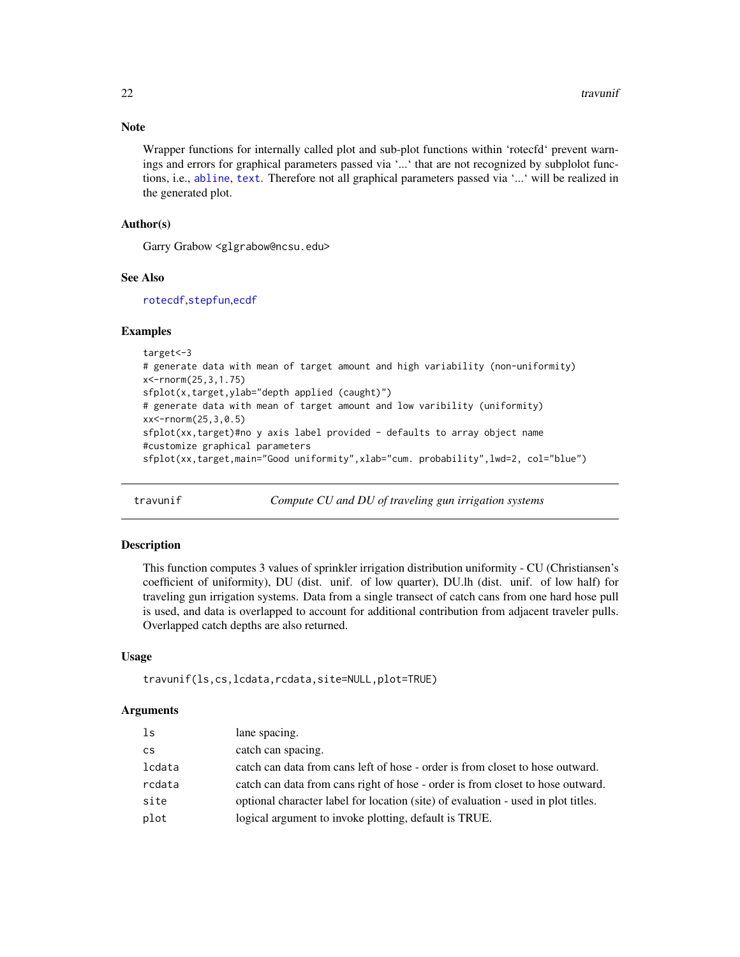#### <span id="page-21-0"></span>Note

Wrapper functions for internally called plot and sub-plot functions within 'rotecfd' prevent warnings and errors for graphical parameters passed via '...' that are not recognized by subplolot functions, i.e., [abline](#page-0-0), [text](#page-0-0). Therefore not all graphical parameters passed via '...' will be realized in the generated plot.

#### Author(s)

Garry Grabow <glgrabow@ncsu.edu>

#### See Also

[rotecdf](#page-19-1),[stepfun](#page-0-0),[ecdf](#page-0-0)

#### Examples

```
target<-3
# generate data with mean of target amount and high variability (non-uniformity)
x<-rnorm(25,3,1.75)
sfplot(x,target,ylab="depth applied (caught)")
# generate data with mean of target amount and low varibility (uniformity)
xx<-rnorm(25,3,0.5)
sfplot(xx,target)#no y axis label provided - defaults to array object name
#customize graphical parameters
sfplot(xx,target,main="Good uniformity",xlab="cum. probability",lwd=2, col="blue")
```
<span id="page-21-1"></span>travunif *Compute CU and DU of traveling gun irrigation systems*

#### Description

This function computes 3 values of sprinkler irrigation distribution uniformity - CU (Christiansen's coefficient of uniformity), DU (dist. unif. of low quarter), DU.lh (dist. unif. of low half) for traveling gun irrigation systems. Data from a single transect of catch cans from one hard hose pull is used, and data is overlapped to account for additional contribution from adjacent traveler pulls. Overlapped catch depths are also returned.

#### Usage

```
travunif(ls,cs,lcdata,rcdata,site=NULL,plot=TRUE)
```
#### Arguments

| ls            | lane spacing.                                                                     |
|---------------|-----------------------------------------------------------------------------------|
| $\mathsf{cs}$ | catch can spacing.                                                                |
| lcdata        | catch can data from cans left of hose - order is from closet to hose outward.     |
| rcdata        | catch can data from cans right of hose - order is from closet to hose outward.    |
| site          | optional character label for location (site) of evaluation - used in plot titles. |
| plot          | logical argument to invoke plotting, default is TRUE.                             |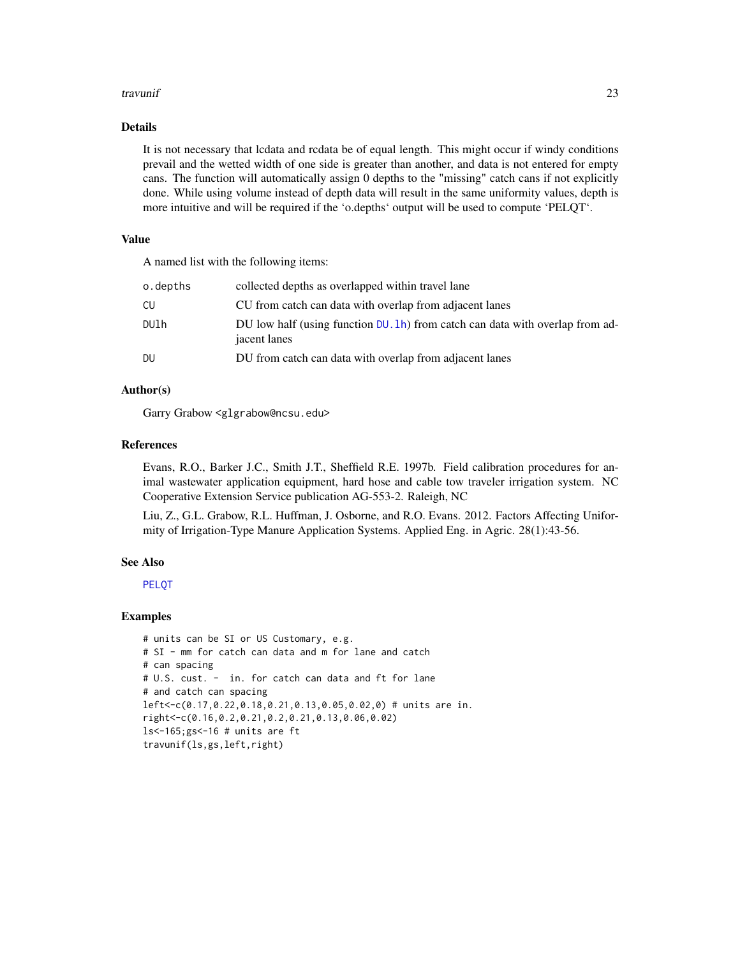#### <span id="page-22-0"></span>travunif 23

#### Details

It is not necessary that lcdata and rcdata be of equal length. This might occur if windy conditions prevail and the wetted width of one side is greater than another, and data is not entered for empty cans. The function will automatically assign 0 depths to the "missing" catch cans if not explicitly done. While using volume instead of depth data will result in the same uniformity values, depth is more intuitive and will be required if the 'o.depths' output will be used to compute 'PELQT'.

#### Value

A named list with the following items:

| o.depths | collected depths as overlapped within travel lane                                                |
|----------|--------------------------------------------------------------------------------------------------|
| CU       | CU from catch can data with overlap from adjacent lanes                                          |
| DUlh     | DU low half (using function $DU$ . 1h) from catch can data with overlap from ad-<br>jacent lanes |
| DU       | DU from catch can data with overlap from adjacent lanes                                          |
|          |                                                                                                  |

#### Author(s)

Garry Grabow <glgrabow@ncsu.edu>

#### References

Evans, R.O., Barker J.C., Smith J.T., Sheffield R.E. 1997b. Field calibration procedures for animal wastewater application equipment, hard hose and cable tow traveler irrigation system. NC Cooperative Extension Service publication AG-553-2. Raleigh, NC

Liu, Z., G.L. Grabow, R.L. Huffman, J. Osborne, and R.O. Evans. 2012. Factors Affecting Uniformity of Irrigation-Type Manure Application Systems. Applied Eng. in Agric. 28(1):43-56.

#### See Also

[PELQT](#page-15-1)

#### Examples

```
# units can be SI or US Customary, e.g.
# SI - mm for catch can data and m for lane and catch
# can spacing
# U.S. cust. - in. for catch can data and ft for lane
# and catch can spacing
left<-c(0.17,0.22,0.18,0.21,0.13,0.05,0.02,0) # units are in.
right<-c(0.16,0.2,0.21,0.2,0.21,0.13,0.06,0.02)
ls<-165;gs<-16 # units are ft
travunif(ls,gs,left,right)
```